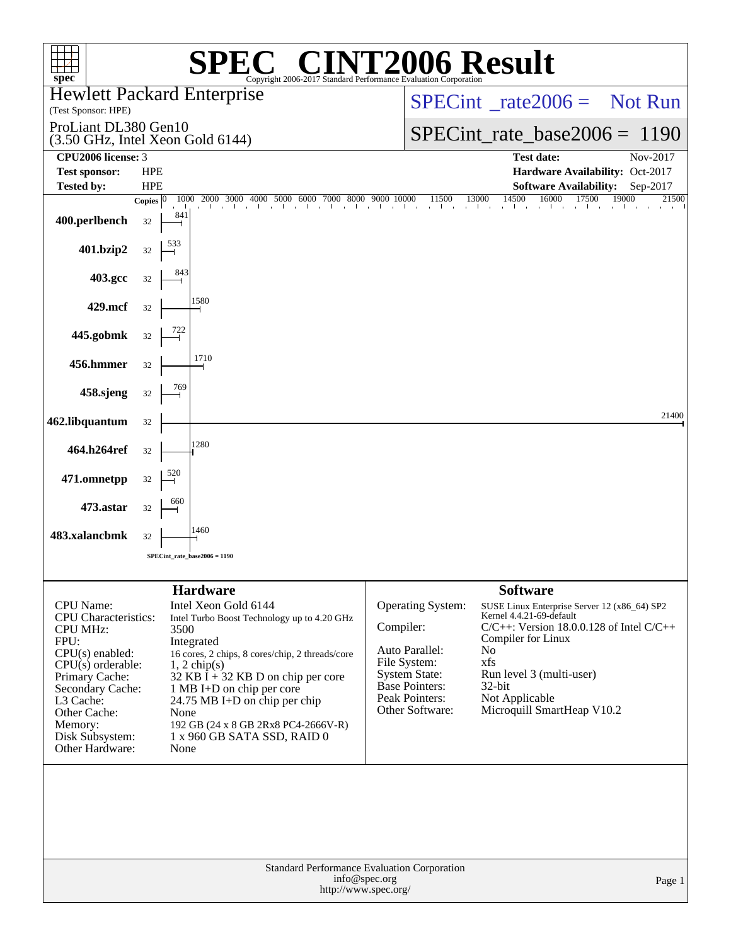| $spec^*$                                                                                                                                                                                                                          |                            | Copyright 2006-2017 Standard Performance Evaluation Corporation                                                                                                                                                                                                                                                                                             |               |                                                                                                                                           | <b>72006 Result</b>                                                                                                                                                                                                                                                      |                            |
|-----------------------------------------------------------------------------------------------------------------------------------------------------------------------------------------------------------------------------------|----------------------------|-------------------------------------------------------------------------------------------------------------------------------------------------------------------------------------------------------------------------------------------------------------------------------------------------------------------------------------------------------------|---------------|-------------------------------------------------------------------------------------------------------------------------------------------|--------------------------------------------------------------------------------------------------------------------------------------------------------------------------------------------------------------------------------------------------------------------------|----------------------------|
| <b>Hewlett Packard Enterprise</b><br>(Test Sponsor: HPE)                                                                                                                                                                          |                            |                                                                                                                                                                                                                                                                                                                                                             |               | $SPECint^{\circ}$ rate $2006 =$ Not Run                                                                                                   |                                                                                                                                                                                                                                                                          |                            |
| ProLiant DL380 Gen10                                                                                                                                                                                                              |                            |                                                                                                                                                                                                                                                                                                                                                             |               | $SPECint_rate_base2006 = 1190$                                                                                                            |                                                                                                                                                                                                                                                                          |                            |
| (3.50 GHz, Intel Xeon Gold 6144)<br>CPU2006 license: 3                                                                                                                                                                            |                            |                                                                                                                                                                                                                                                                                                                                                             |               |                                                                                                                                           | <b>Test date:</b>                                                                                                                                                                                                                                                        | Nov-2017                   |
| <b>Test sponsor:</b>                                                                                                                                                                                                              | <b>HPE</b>                 |                                                                                                                                                                                                                                                                                                                                                             |               |                                                                                                                                           | Hardware Availability: Oct-2017                                                                                                                                                                                                                                          |                            |
| <b>Tested by:</b>                                                                                                                                                                                                                 | <b>HPE</b><br>Copies $ 0 $ | 1000 2000 3000 4000 5000 6000 7000 8000                                                                                                                                                                                                                                                                                                                     | 9000 10000    | 11500                                                                                                                                     | <b>Software Availability:</b><br>14500<br>13000<br>16000<br>17500                                                                                                                                                                                                        | Sep-2017<br>19000<br>21500 |
| 400.perlbench                                                                                                                                                                                                                     | 841<br>32                  | $1 - i - 1$                                                                                                                                                                                                                                                                                                                                                 |               | and a state<br>$\sim 10^{-1}$                                                                                                             | and the contract of the contract of<br><b>College</b><br>$\sim$                                                                                                                                                                                                          |                            |
| 401.bzip2                                                                                                                                                                                                                         | 32                         |                                                                                                                                                                                                                                                                                                                                                             |               |                                                                                                                                           |                                                                                                                                                                                                                                                                          |                            |
| 403.gcc                                                                                                                                                                                                                           | 32                         |                                                                                                                                                                                                                                                                                                                                                             |               |                                                                                                                                           |                                                                                                                                                                                                                                                                          |                            |
| 429.mcf                                                                                                                                                                                                                           | 32                         | 1580                                                                                                                                                                                                                                                                                                                                                        |               |                                                                                                                                           |                                                                                                                                                                                                                                                                          |                            |
| 445.gobmk                                                                                                                                                                                                                         | 32                         |                                                                                                                                                                                                                                                                                                                                                             |               |                                                                                                                                           |                                                                                                                                                                                                                                                                          |                            |
| 456.hmmer                                                                                                                                                                                                                         | 32                         | 1710                                                                                                                                                                                                                                                                                                                                                        |               |                                                                                                                                           |                                                                                                                                                                                                                                                                          |                            |
| 458.sjeng                                                                                                                                                                                                                         | 32                         |                                                                                                                                                                                                                                                                                                                                                             |               |                                                                                                                                           |                                                                                                                                                                                                                                                                          |                            |
| 462.libquantum                                                                                                                                                                                                                    | 32                         |                                                                                                                                                                                                                                                                                                                                                             |               |                                                                                                                                           |                                                                                                                                                                                                                                                                          | 21400                      |
| 464.h264ref                                                                                                                                                                                                                       | 32                         | 1280                                                                                                                                                                                                                                                                                                                                                        |               |                                                                                                                                           |                                                                                                                                                                                                                                                                          |                            |
| 471.omnetpp                                                                                                                                                                                                                       | 520<br>32                  |                                                                                                                                                                                                                                                                                                                                                             |               |                                                                                                                                           |                                                                                                                                                                                                                                                                          |                            |
| 473.astar                                                                                                                                                                                                                         | 32                         |                                                                                                                                                                                                                                                                                                                                                             |               |                                                                                                                                           |                                                                                                                                                                                                                                                                          |                            |
| 483.xalancbmk                                                                                                                                                                                                                     | 32                         | 1460                                                                                                                                                                                                                                                                                                                                                        |               |                                                                                                                                           |                                                                                                                                                                                                                                                                          |                            |
|                                                                                                                                                                                                                                   |                            | SPECint rate base $2006 = 1190$                                                                                                                                                                                                                                                                                                                             |               |                                                                                                                                           |                                                                                                                                                                                                                                                                          |                            |
|                                                                                                                                                                                                                                   |                            |                                                                                                                                                                                                                                                                                                                                                             |               |                                                                                                                                           |                                                                                                                                                                                                                                                                          |                            |
| CPU Name:<br><b>CPU</b> Characteristics:<br><b>CPU MHz:</b><br>FPU:<br>CPU(s) enabled:<br>$CPU(s)$ orderable:<br>Primary Cache:<br>Secondary Cache:<br>L3 Cache:<br>Other Cache:<br>Memory:<br>Disk Subsystem:<br>Other Hardware: | 3500<br>None<br>None       | <b>Hardware</b><br>Intel Xeon Gold 6144<br>Intel Turbo Boost Technology up to 4.20 GHz<br>Integrated<br>16 cores, 2 chips, 8 cores/chip, 2 threads/core<br>$1, 2$ chip(s)<br>32 KB $\hat{I}$ + 32 KB D on chip per core<br>1 MB I+D on chip per core<br>24.75 MB I+D on chip per chip<br>192 GB (24 x 8 GB 2Rx8 PC4-2666V-R)<br>1 x 960 GB SATA SSD, RAID 0 | Compiler:     | Operating System:<br>Auto Parallel:<br>File System:<br><b>System State:</b><br><b>Base Pointers:</b><br>Peak Pointers:<br>Other Software: | <b>Software</b><br>SUSE Linux Enterprise Server 12 (x86_64) SP2<br>Kernel 4.4.21-69-default<br>$C/C++$ : Version 18.0.0.128 of Intel $C/C++$<br>Compiler for Linux<br>No<br>xfs<br>Run level 3 (multi-user)<br>$32$ -bit<br>Not Applicable<br>Microquill SmartHeap V10.2 |                            |
|                                                                                                                                                                                                                                   |                            | Standard Performance Evaluation Corporation<br>http://www.spec.org/                                                                                                                                                                                                                                                                                         | info@spec.org |                                                                                                                                           |                                                                                                                                                                                                                                                                          | Page 1                     |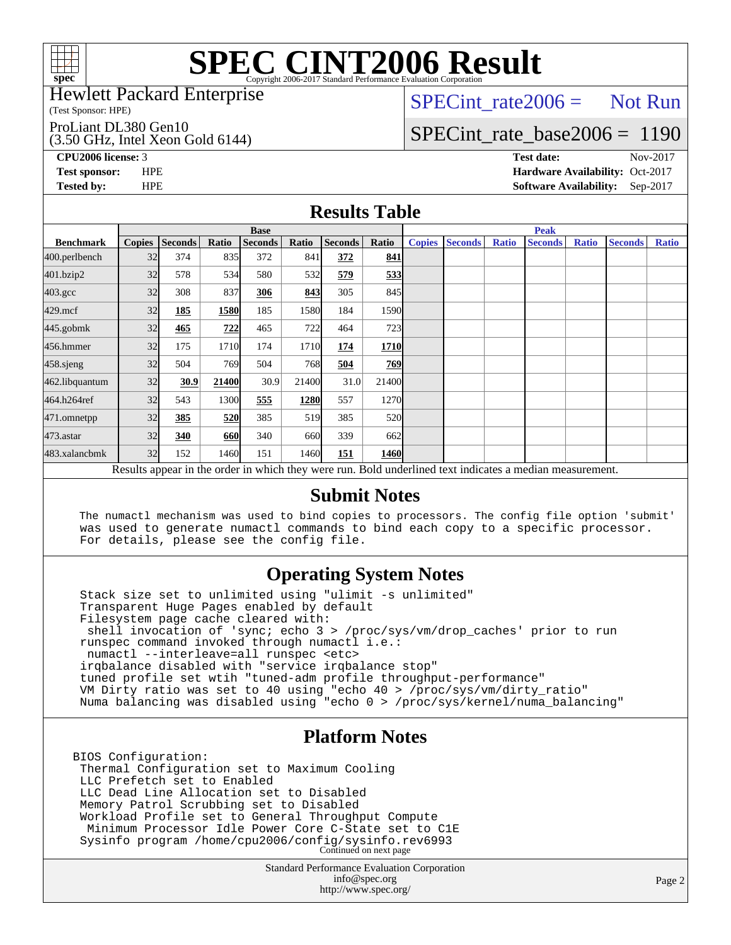

#### Hewlett Packard Enterprise

(Test Sponsor: HPE)

#### ProLiant DL380 Gen10

(3.50 GHz, Intel Xeon Gold 6144)

 $SPECTnt_rate2006 = Not Run$ 

## [SPECint\\_rate\\_base2006 =](http://www.spec.org/auto/cpu2006/Docs/result-fields.html#SPECintratebase2006) 1190

**[CPU2006 license:](http://www.spec.org/auto/cpu2006/Docs/result-fields.html#CPU2006license)** 3 **[Test date:](http://www.spec.org/auto/cpu2006/Docs/result-fields.html#Testdate)** Nov-2017 **[Test sponsor:](http://www.spec.org/auto/cpu2006/Docs/result-fields.html#Testsponsor)** HPE **[Hardware Availability:](http://www.spec.org/auto/cpu2006/Docs/result-fields.html#HardwareAvailability)** Oct-2017 **[Tested by:](http://www.spec.org/auto/cpu2006/Docs/result-fields.html#Testedby)** HPE **[Software Availability:](http://www.spec.org/auto/cpu2006/Docs/result-fields.html#SoftwareAvailability)** Sep-2017

### **[Results Table](http://www.spec.org/auto/cpu2006/Docs/result-fields.html#ResultsTable)**

|                    | <b>Base</b>                                                                                              |                |       |                |       |                |            |               | <b>Peak</b>    |              |                |              |                |              |
|--------------------|----------------------------------------------------------------------------------------------------------|----------------|-------|----------------|-------|----------------|------------|---------------|----------------|--------------|----------------|--------------|----------------|--------------|
| <b>Benchmark</b>   | <b>Copies</b>                                                                                            | <b>Seconds</b> | Ratio | <b>Seconds</b> | Ratio | <b>Seconds</b> | Ratio      | <b>Copies</b> | <b>Seconds</b> | <b>Ratio</b> | <b>Seconds</b> | <b>Ratio</b> | <b>Seconds</b> | <b>Ratio</b> |
| 400.perlbench      | 32                                                                                                       | 374            | 835   | 372            | 841   | 372            | 841        |               |                |              |                |              |                |              |
| 401.bzip2          | 32                                                                                                       | 578            | 534   | 580            | 532   | 579            | 533        |               |                |              |                |              |                |              |
| $403.\mathrm{gcc}$ | 32                                                                                                       | 308            | 837   | 306            | 843   | 305            | 845        |               |                |              |                |              |                |              |
| $429$ .mcf         | 32                                                                                                       | 185            | 1580  | 185            | 1580  | 184            | 1590       |               |                |              |                |              |                |              |
| $445$ .gobm $k$    | 32                                                                                                       | 465            | 722   | 465            | 722   | 464            | 723        |               |                |              |                |              |                |              |
| 456.hmmer          | 32                                                                                                       | 175            | 1710  | 174            | 1710  | 174            | 1710       |               |                |              |                |              |                |              |
| $458$ .sjeng       | 32                                                                                                       | 504            | 769   | 504            | 768   | 504            | 769        |               |                |              |                |              |                |              |
| 462.libquantum     | 32                                                                                                       | 30.9           | 21400 | 30.9           | 21400 | 31.0           | 21400      |               |                |              |                |              |                |              |
| 464.h264ref        | 32                                                                                                       | 543            | 1300  | 555            | 1280  | 557            | 1270       |               |                |              |                |              |                |              |
| 471.omnetpp        | 32                                                                                                       | 385            | 520   | 385            | 519   | 385            | <b>520</b> |               |                |              |                |              |                |              |
| 473.astar          | 32                                                                                                       | 340            | 660   | 340            | 660   | 339            | 662l       |               |                |              |                |              |                |              |
| 483.xalancbmk      | 32                                                                                                       | 152            | 1460  | 151            | 1460  | 151            | 1460       |               |                |              |                |              |                |              |
|                    | Results appear in the order in which they were run. Bold underlined text indicates a median measurement. |                |       |                |       |                |            |               |                |              |                |              |                |              |

#### **[Submit Notes](http://www.spec.org/auto/cpu2006/Docs/result-fields.html#SubmitNotes)**

 The numactl mechanism was used to bind copies to processors. The config file option 'submit' was used to generate numactl commands to bind each copy to a specific processor. For details, please see the config file.

### **[Operating System Notes](http://www.spec.org/auto/cpu2006/Docs/result-fields.html#OperatingSystemNotes)**

 Stack size set to unlimited using "ulimit -s unlimited" Transparent Huge Pages enabled by default Filesystem page cache cleared with: shell invocation of 'sync; echo 3 > /proc/sys/vm/drop\_caches' prior to run runspec command invoked through numactl i.e.: numactl --interleave=all runspec <etc> irqbalance disabled with "service irqbalance stop" tuned profile set wtih "tuned-adm profile throughput-performance" VM Dirty ratio was set to 40 using "echo 40 > /proc/sys/vm/dirty\_ratio" Numa balancing was disabled using "echo 0 > /proc/sys/kernel/numa\_balancing"

#### **[Platform Notes](http://www.spec.org/auto/cpu2006/Docs/result-fields.html#PlatformNotes)**

BIOS Configuration: Thermal Configuration set to Maximum Cooling LLC Prefetch set to Enabled LLC Dead Line Allocation set to Disabled Memory Patrol Scrubbing set to Disabled Workload Profile set to General Throughput Compute Minimum Processor Idle Power Core C-State set to C1E Sysinfo program /home/cpu2006/config/sysinfo.rev6993 Continued on next page

> Standard Performance Evaluation Corporation [info@spec.org](mailto:info@spec.org) <http://www.spec.org/>

Page 2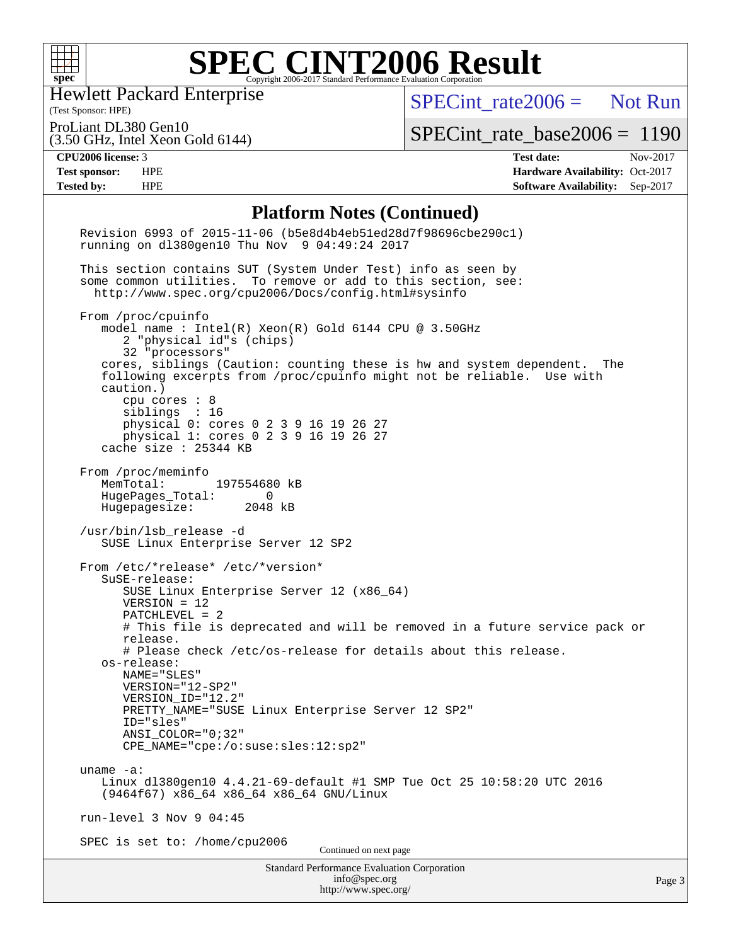

Hewlett Packard Enterprise

[SPECint\\_rate2006 =](http://www.spec.org/auto/cpu2006/Docs/result-fields.html#SPECintrate2006) Not Run

(Test Sponsor: HPE) ProLiant DL380 Gen10

(3.50 GHz, Intel Xeon Gold 6144)

[SPECint\\_rate\\_base2006 =](http://www.spec.org/auto/cpu2006/Docs/result-fields.html#SPECintratebase2006) 1190

**[CPU2006 license:](http://www.spec.org/auto/cpu2006/Docs/result-fields.html#CPU2006license)** 3 **[Test date:](http://www.spec.org/auto/cpu2006/Docs/result-fields.html#Testdate)** Nov-2017 **[Test sponsor:](http://www.spec.org/auto/cpu2006/Docs/result-fields.html#Testsponsor)** HPE **[Hardware Availability:](http://www.spec.org/auto/cpu2006/Docs/result-fields.html#HardwareAvailability)** Oct-2017 **[Tested by:](http://www.spec.org/auto/cpu2006/Docs/result-fields.html#Testedby)** HPE **[Software Availability:](http://www.spec.org/auto/cpu2006/Docs/result-fields.html#SoftwareAvailability)** Sep-2017

#### **[Platform Notes \(Continued\)](http://www.spec.org/auto/cpu2006/Docs/result-fields.html#PlatformNotes)**

| <b>Standard Performance Evaluation Corporation</b><br>info@spec.org<br>http://www.spec.org/                                                                                                                                                                                                                                                                                                                                                 | Page 3 |
|---------------------------------------------------------------------------------------------------------------------------------------------------------------------------------------------------------------------------------------------------------------------------------------------------------------------------------------------------------------------------------------------------------------------------------------------|--------|
| SPEC is set to: /home/cpu2006<br>Continued on next page                                                                                                                                                                                                                                                                                                                                                                                     |        |
| run-level $3$ Nov $9$ 04:45                                                                                                                                                                                                                                                                                                                                                                                                                 |        |
| uname $-a$ :<br>Linux dl380gen10 4.4.21-69-default #1 SMP Tue Oct 25 10:58:20 UTC 2016<br>(9464f67) x86 64 x86 64 x86 64 GNU/Linux                                                                                                                                                                                                                                                                                                          |        |
| VERSION="12-SP2"<br>VERSION_ID="12.2"<br>PRETTY_NAME="SUSE Linux Enterprise Server 12 SP2"<br>ID="sles"<br>$ANSI$ _COLOR=" $0:32$ "<br>CPE_NAME="cpe:/o:suse:sles:12:sp2"                                                                                                                                                                                                                                                                   |        |
| # This file is deprecated and will be removed in a future service pack or<br>release.<br># Please check /etc/os-release for details about this release.<br>os-release:<br>NAME="SLES"                                                                                                                                                                                                                                                       |        |
| From /etc/*release* /etc/*version*<br>SuSE-release:<br>SUSE Linux Enterprise Server 12 (x86_64)<br>$VERSION = 12$<br>PATCHLEVEL = 2                                                                                                                                                                                                                                                                                                         |        |
| /usr/bin/lsb_release -d<br>SUSE Linux Enterprise Server 12 SP2                                                                                                                                                                                                                                                                                                                                                                              |        |
| From /proc/meminfo<br>MemTotal:<br>197554680 kB<br>HugePages_Total:<br>$\Omega$<br>Hugepagesize: 2048 kB                                                                                                                                                                                                                                                                                                                                    |        |
| From /proc/cpuinfo<br>model name : Intel(R) Xeon(R) Gold 6144 CPU @ 3.50GHz<br>2 "physical id"s (chips)<br>32 "processors"<br>cores, siblings (Caution: counting these is hw and system dependent. The<br>following excerpts from /proc/cpuinfo might not be reliable. Use with<br>caution.)<br>cpu cores $: 8$<br>siblings : 16<br>physical 0: cores 0 2 3 9 16 19 26 27<br>physical 1: cores 0 2 3 9 16 19 26 27<br>cache size : 25344 KB |        |
| This section contains SUT (System Under Test) info as seen by<br>some common utilities. To remove or add to this section, see:<br>http://www.spec.org/cpu2006/Docs/config.html#sysinfo                                                                                                                                                                                                                                                      |        |
| Revision 6993 of 2015-11-06 (b5e8d4b4eb51ed28d7f98696cbe290c1)<br>running on dl380gen10 Thu Nov 9 04:49:24 2017                                                                                                                                                                                                                                                                                                                             |        |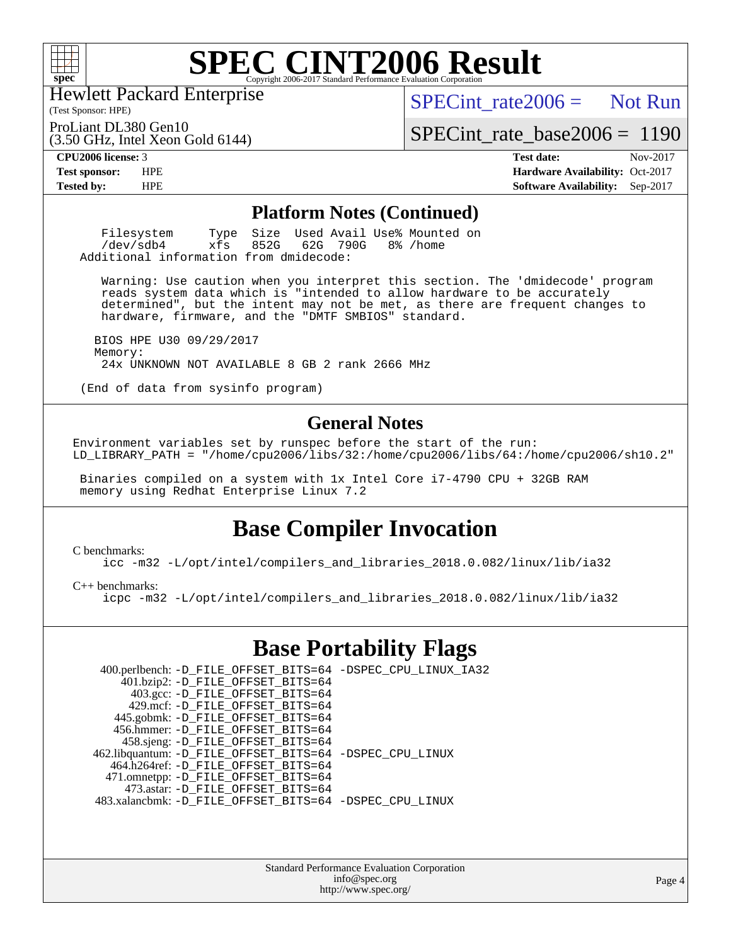

(Test Sponsor: HPE) Hewlett Packard Enterprise

(3.50 GHz, Intel Xeon Gold 6144)

 $SPECint rate2006 =$  Not Run

ProLiant DL380 Gen10

[SPECint\\_rate\\_base2006 =](http://www.spec.org/auto/cpu2006/Docs/result-fields.html#SPECintratebase2006) 1190

**[CPU2006 license:](http://www.spec.org/auto/cpu2006/Docs/result-fields.html#CPU2006license)** 3 **[Test date:](http://www.spec.org/auto/cpu2006/Docs/result-fields.html#Testdate)** Nov-2017 **[Test sponsor:](http://www.spec.org/auto/cpu2006/Docs/result-fields.html#Testsponsor)** HPE **[Hardware Availability:](http://www.spec.org/auto/cpu2006/Docs/result-fields.html#HardwareAvailability)** Oct-2017 **[Tested by:](http://www.spec.org/auto/cpu2006/Docs/result-fields.html#Testedby)** HPE **[Software Availability:](http://www.spec.org/auto/cpu2006/Docs/result-fields.html#SoftwareAvailability)** Sep-2017

#### **[Platform Notes \(Continued\)](http://www.spec.org/auto/cpu2006/Docs/result-fields.html#PlatformNotes)**

Filesystem Type Size Used Avail Use% Mounted on<br>  $\text{dev}$ /sdb4 xfs 852G 62G 790G 8% /home 62G 790G Additional information from dmidecode:

 Warning: Use caution when you interpret this section. The 'dmidecode' program reads system data which is "intended to allow hardware to be accurately determined", but the intent may not be met, as there are frequent changes to hardware, firmware, and the "DMTF SMBIOS" standard.

 BIOS HPE U30 09/29/2017 Memory: 24x UNKNOWN NOT AVAILABLE 8 GB 2 rank 2666 MHz

(End of data from sysinfo program)

#### **[General Notes](http://www.spec.org/auto/cpu2006/Docs/result-fields.html#GeneralNotes)**

Environment variables set by runspec before the start of the run: LD\_LIBRARY\_PATH = "/home/cpu2006/libs/32:/home/cpu2006/libs/64:/home/cpu2006/sh10.2"

 Binaries compiled on a system with 1x Intel Core i7-4790 CPU + 32GB RAM memory using Redhat Enterprise Linux 7.2

### **[Base Compiler Invocation](http://www.spec.org/auto/cpu2006/Docs/result-fields.html#BaseCompilerInvocation)**

[C benchmarks](http://www.spec.org/auto/cpu2006/Docs/result-fields.html#Cbenchmarks):

[icc -m32 -L/opt/intel/compilers\\_and\\_libraries\\_2018.0.082/linux/lib/ia32](http://www.spec.org/cpu2006/results/res2017q4/cpu2006-20171114-50620.flags.html#user_CCbase_intel_icc_355c401af4d5dc87e09103a6bbcae1c6)

[C++ benchmarks:](http://www.spec.org/auto/cpu2006/Docs/result-fields.html#CXXbenchmarks)

[icpc -m32 -L/opt/intel/compilers\\_and\\_libraries\\_2018.0.082/linux/lib/ia32](http://www.spec.org/cpu2006/results/res2017q4/cpu2006-20171114-50620.flags.html#user_CXXbase_intel_icpc_b34a6f497613b30bc6bf10051974f22f)

### **[Base Portability Flags](http://www.spec.org/auto/cpu2006/Docs/result-fields.html#BasePortabilityFlags)**

| 400.perlbench: -D_FILE_OFFSET_BITS=64 -DSPEC_CPU_LINUX_IA32 |
|-------------------------------------------------------------|
|                                                             |
|                                                             |
|                                                             |
|                                                             |
|                                                             |
|                                                             |
| 462.libquantum: -D_FILE_OFFSET_BITS=64 -DSPEC_CPU_LINUX     |
|                                                             |
|                                                             |
|                                                             |
| 483.xalancbmk: -D_FILE_OFFSET_BITS=64 -DSPEC_CPU_LINUX      |
|                                                             |

Standard Performance Evaluation Corporation [info@spec.org](mailto:info@spec.org) <http://www.spec.org/>